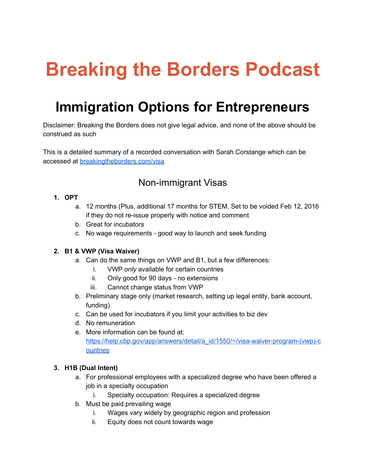# **Breaking the Borders Podcast**

# **Immigration Options for Entrepreneurs**

Disclaimer: Breaking the Borders does not give legal advice, and none of the above should be construed as such

This is a detailed summary of a recorded conversation with Sarah Corstange which can be accessed at [breakingtheborders.com/visa](http://breakingtheborders.com/visa)

### Non-immigrant Visas

#### **1. OPT**

- a. 12 months (Plus, additional 17 months for STEM. Set to be voided Feb 12, 2016 if they do not re-issue properly with notice and comment
- b. Great for incubators
- c. No wage requirements good way to launch and seek funding

#### **2. B1 & VWP (Visa Waiver)**

- a. Can do the same things on VWP and B1, but a few differences:
	- i. VWP *only* available for certain countries
	- ii. Only good for 90 days no extensions
	- iii. Cannot change status from VWP
- b. Preliminary stage only (market research, setting up legal entity, bank account, funding)
- c. Can be used for incubators if you limit your activities to biz dev
- d. No remuneration
- e. More information can be found at: https://help.cbp.gov/app/answers/detail/a\_id/1550/~/visa-waiver-program-(vwp)-c [ountries](https://help.cbp.gov/app/answers/detail/a_id/1550/~/visa-waiver-program-(vwp)-countries)

#### **3. H1B (Dual Intent)**

- a. For professional employees with a specialized degree who have been offered a job in a specialty occupation
	- i. Specialty occupation: Requires a specialized degree
- b. Must be paid prevailing wage
	- i. Wages vary widely by geographic region and profession
	- ii. Equity does not count towards wage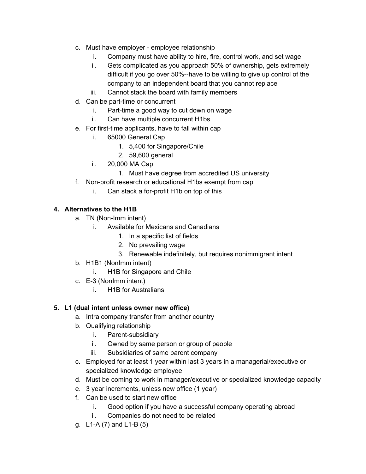- c. Must have employer employee relationship
	- i. Company must have ability to hire, fire, control work, and set wage
	- ii. Gets complicated as you approach 50% of ownership, gets extremely difficult if you go over 50%--have to be willing to give up control of the company to an independent board that you cannot replace
	- iii. Cannot stack the board with family members
- d. Can be part-time or concurrent
	- $i.$  Part-time a good way to cut down on wage
	- ii. Can have multiple concurrent H1bs
- e. For first-time applicants, have to fall within cap
	- i. 65000 General Cap
		- 1. 5,400 for Singapore/Chile
		- 2. 59,600 general
	- ii. 20,000 MA Cap
		- 1. Must have degree from accredited US university
- f. Non-profit research or educational H1bs exempt from cap
	- i. Can stack a for-profit  $H1b$  on top of this

#### **4. Alternatives to the H1B**

- a. TN (Non-Imm intent)
	- i. Available for Mexicans and Canadians
		- 1. In a specific list of fields
		- 2. No prevailing wage
		- 3. Renewable indefinitely, but requires nonimmigrant intent
- b. H1B1 (NonImm intent)
	- i. H1B for Singapore and Chile
- c. E-3 (NonImm intent)
	- i. H1B for Australians

#### **5. L1 (dual intent unless owner new office)**

- a. Intra company transfer from another country
- b. Qualifying relationship
	- i. Parent-subsidiary
	- ii. Owned by same person or group of people
	- iii. Subsidiaries of same parent company
- c. Employed for at least 1 year within last 3 years in a managerial/executive or specialized knowledge employee
- d. Must be coming to work in manager/executive or specialized knowledge capacity
- e. 3 year increments, unless new office (1 year)
- f. Can be used to start new office
	- i. Good option if you have a successful company operating abroad
	- ii. Companies do not need to be related
- g. L1-A  $(7)$  and L1-B  $(5)$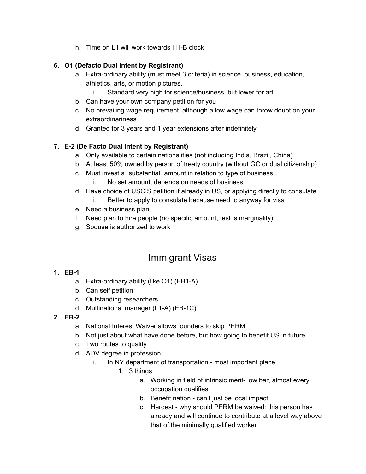h. Time on L1 will work towards H1-B clock

#### **6. O1 (Defacto Dual Intent by Registrant)**

- a. Extra-ordinary ability (must meet 3 criteria) in science, business, education, athletics, arts, or motion pictures.
	- i. Standard very high for science/business, but lower for art
- b. Can have your own company petition for you
- c. No prevailing wage requirement, although a low wage can throw doubt on your extraordinariness
- d. Granted for 3 years and 1 year extensions after indefinitely

#### **7. E2 (De Facto Dual Intent by Registrant)**

- a. Only available to certain nationalities (not including India, Brazil, China)
- b. At least 50% owned by person of treaty country (without GC or dual citizenship)
- c. Must invest a "substantial" amount in relation to type of business
	- i. No set amount, depends on needs of business
- d. Have choice of USCIS petition if already in US, or applying directly to consulate
	- i. Better to apply to consulate because need to anyway for visa
- e. Need a business plan
- f. Need plan to hire people (no specific amount, test is marginality)
- g. Spouse is authorized to work

## Immigrant Visas

#### **1. EB1**

- a. Extra-ordinary ability (like O1) (EB1-A)
- b. Can self petition
- c. Outstanding researchers
- d. Multinational manager (L1-A) (EB-1C)

#### **2. EB-2**

- a. National Interest Waiver allows founders to skip PERM
- b. Not just about what have done before, but how going to benefit US in future
- c. Two routes to qualify
- d. ADV degree in profession
	- i. In NY department of transportation most important place
		- 1. 3 things
			- a. Working in field of intrinsic merit-low bar, almost every occupation qualifies
			- b. Benefit nation can't just be local impact
			- c. Hardest why should PERM be waived: this person has already and will continue to contribute at a level way above that of the minimally qualified worker